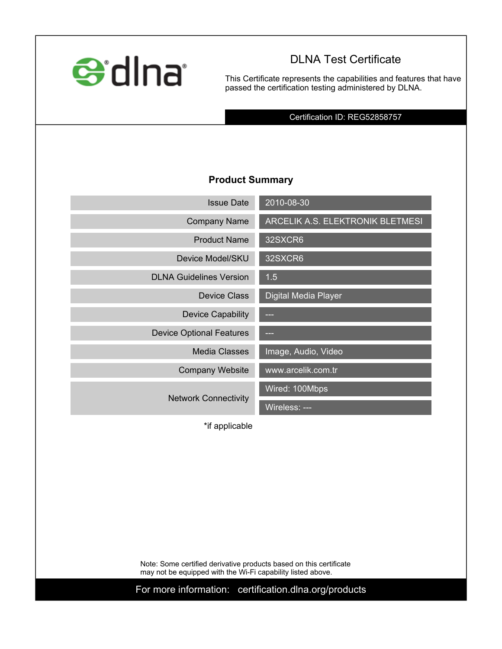

# **DLNA Test Certificate**

**This Certificate represents the capabilities and features that have passed the certification testing administered by DLNA.**

**Certification ID: REG52858757**

### **Product Summary**

| <b>Issue Date</b>               | 2010-08-30                       |
|---------------------------------|----------------------------------|
| <b>Company Name</b>             | ARCELIK A.S. ELEKTRONIK BLETMESI |
| <b>Product Name</b>             | 32SXCR6                          |
| Device Model/SKU                | 32SXCR6                          |
| <b>DLNA Guidelines Version</b>  | 1.5                              |
| <b>Device Class</b>             | <b>Digital Media Player</b>      |
| <b>Device Capability</b>        |                                  |
| <b>Device Optional Features</b> | حما                              |
| <b>Media Classes</b>            | Image, Audio, Video              |
| <b>Company Website</b>          | www.arcelik.com.tr               |
|                                 | Wired: 100Mbps                   |
| <b>Network Connectivity</b>     | Wireless: ---                    |

**\*if applicable**

**Note: Some certified derivative products based on this certificate may not be equipped with the Wi-Fi capability listed above.**

**For more information: certification.dlna.org/products**